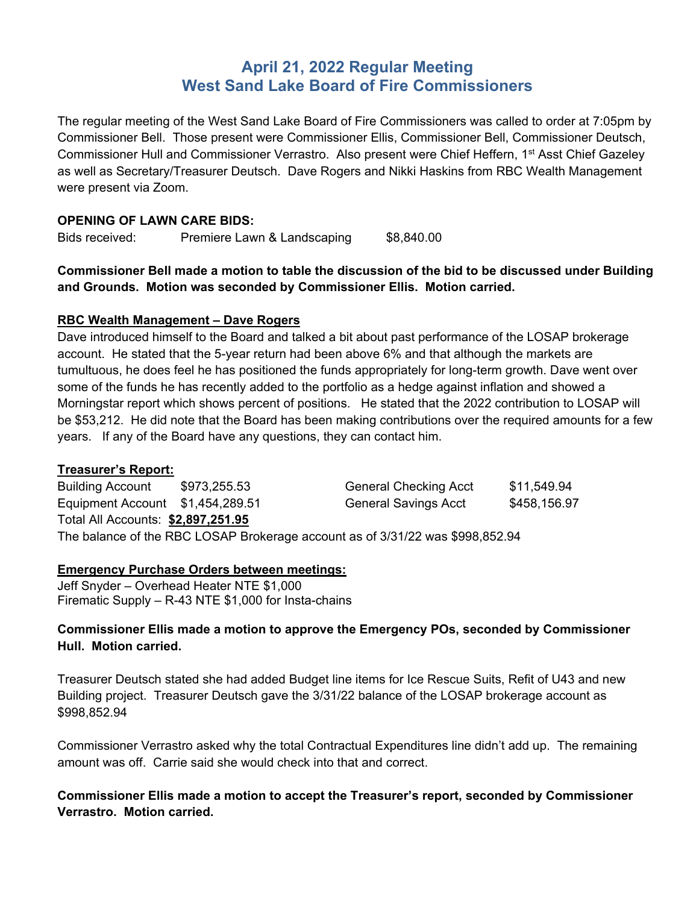# **April 21, 2022 Regular Meeting West Sand Lake Board of Fire Commissioners**

The regular meeting of the West Sand Lake Board of Fire Commissioners was called to order at 7:05pm by Commissioner Bell. Those present were Commissioner Ellis, Commissioner Bell, Commissioner Deutsch, Commissioner Hull and Commissioner Verrastro. Also present were Chief Heffern, 1<sup>st</sup> Asst Chief Gazeley as well as Secretary/Treasurer Deutsch. Dave Rogers and Nikki Haskins from RBC Wealth Management were present via Zoom.

### **OPENING OF LAWN CARE BIDS:**

Bids received: Premiere Lawn & Landscaping \$8,840.00

**Commissioner Bell made a motion to table the discussion of the bid to be discussed under Building and Grounds. Motion was seconded by Commissioner Ellis. Motion carried.** 

## **RBC Wealth Management – Dave Rogers**

Dave introduced himself to the Board and talked a bit about past performance of the LOSAP brokerage account. He stated that the 5-year return had been above 6% and that although the markets are tumultuous, he does feel he has positioned the funds appropriately for long-term growth. Dave went over some of the funds he has recently added to the portfolio as a hedge against inflation and showed a Morningstar report which shows percent of positions. He stated that the 2022 contribution to LOSAP will be \$53,212. He did note that the Board has been making contributions over the required amounts for a few years. If any of the Board have any questions, they can contact him.

### **Treasurer's Report:**

| <b>Building Account</b>                                                       | \$973,255.53 | <b>General Checking Acct</b> | \$11,549.94  |  |  |  |
|-------------------------------------------------------------------------------|--------------|------------------------------|--------------|--|--|--|
| Equipment Account \$1,454,289.51                                              |              | <b>General Savings Acct</b>  | \$458,156.97 |  |  |  |
| Total All Accounts: \$2,897,251.95                                            |              |                              |              |  |  |  |
| The balance of the RBC LOSAP Brokerage account as of 3/31/22 was \$998,852.94 |              |                              |              |  |  |  |

### **Emergency Purchase Orders between meetings:**

Jeff Snyder – Overhead Heater NTE \$1,000 Firematic Supply – R-43 NTE \$1,000 for Insta-chains

# **Commissioner Ellis made a motion to approve the Emergency POs, seconded by Commissioner Hull. Motion carried.**

Treasurer Deutsch stated she had added Budget line items for Ice Rescue Suits, Refit of U43 and new Building project. Treasurer Deutsch gave the 3/31/22 balance of the LOSAP brokerage account as \$998,852.94

Commissioner Verrastro asked why the total Contractual Expenditures line didn't add up. The remaining amount was off. Carrie said she would check into that and correct.

# **Commissioner Ellis made a motion to accept the Treasurer's report, seconded by Commissioner Verrastro. Motion carried.**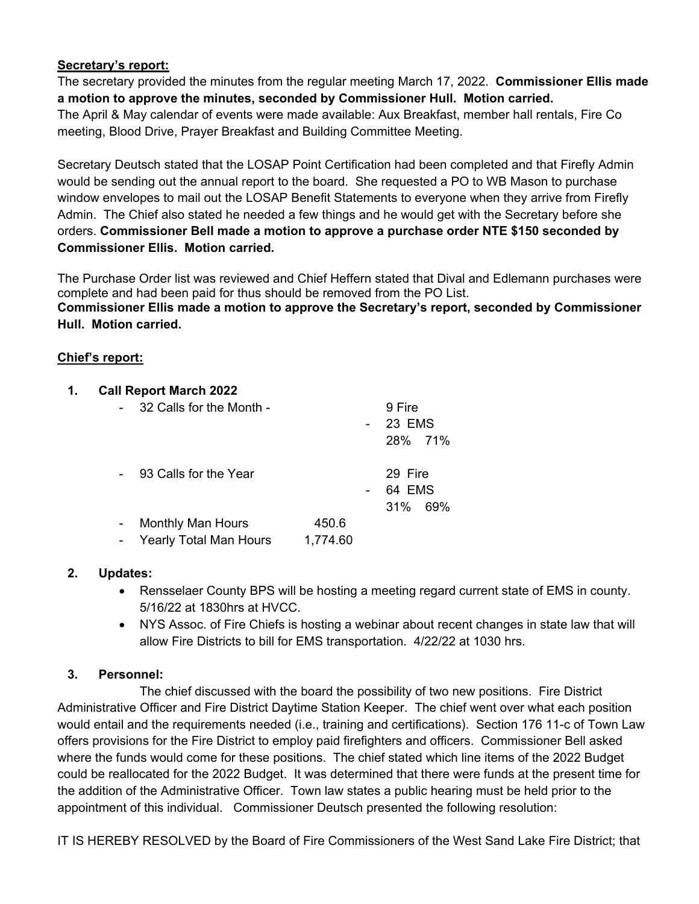# **Secretary's report:**

The secretary provided the minutes from the regular meeting March 17, 2022. **Commissioner Ellis made a motion to approve the minutes, seconded by Commissioner Hull. Motion carried.**  The April & May calendar of events were made available: Aux Breakfast, member hall rentals, Fire Co meeting, Blood Drive, Prayer Breakfast and Building Committee Meeting.

Secretary Deutsch stated that the LOSAP Point Certification had been completed and that Firefly Admin would be sending out the annual report to the board. She requested a PO to WB Mason to purchase window envelopes to mail out the LOSAP Benefit Statements to everyone when they arrive from Firefly Admin. The Chief also stated he needed a few things and he would get with the Secretary before she orders. **Commissioner Bell made a motion to approve a purchase order NTE \$150 seconded by Commissioner Ellis. Motion carried.**

The Purchase Order list was reviewed and Chief Heffern stated that Dival and Edlemann purchases were complete and had been paid for thus should be removed from the PO List. **Commissioner Ellis made a motion to approve the Secretary's report, seconded by Commissioner Hull. Motion carried.** 

## **Chief's report:**

| 1. | <b>Call Report March 2022</b> |                               |          |  |                              |  |
|----|-------------------------------|-------------------------------|----------|--|------------------------------|--|
|    |                               | 32 Calls for the Month -      |          |  | 9 Fire<br>23 EMS<br>28% 71%  |  |
|    |                               | 93 Calls for the Year         |          |  | 29 Fire<br>64 EMS<br>31% 69% |  |
|    |                               | <b>Monthly Man Hours</b>      | 450.6    |  |                              |  |
|    |                               | <b>Yearly Total Man Hours</b> | 1,774.60 |  |                              |  |

### **2. Updates:**

- Rensselaer County BPS will be hosting a meeting regard current state of EMS in county. 5/16/22 at 1830hrs at HVCC.
- NYS Assoc. of Fire Chiefs is hosting a webinar about recent changes in state law that will allow Fire Districts to bill for EMS transportation. 4/22/22 at 1030 hrs.

# **3. Personnel:**

The chief discussed with the board the possibility of two new positions. Fire District Administrative Officer and Fire District Daytime Station Keeper. The chief went over what each position would entail and the requirements needed (i.e., training and certifications). Section 176 11-c of Town Law offers provisions for the Fire District to employ paid firefighters and officers. Commissioner Bell asked where the funds would come for these positions. The chief stated which line items of the 2022 Budget could be reallocated for the 2022 Budget. It was determined that there were funds at the present time for the addition of the Administrative Officer. Town law states a public hearing must be held prior to the appointment of this individual. Commissioner Deutsch presented the following resolution:

IT IS HEREBY RESOLVED by the Board of Fire Commissioners of the West Sand Lake Fire District; that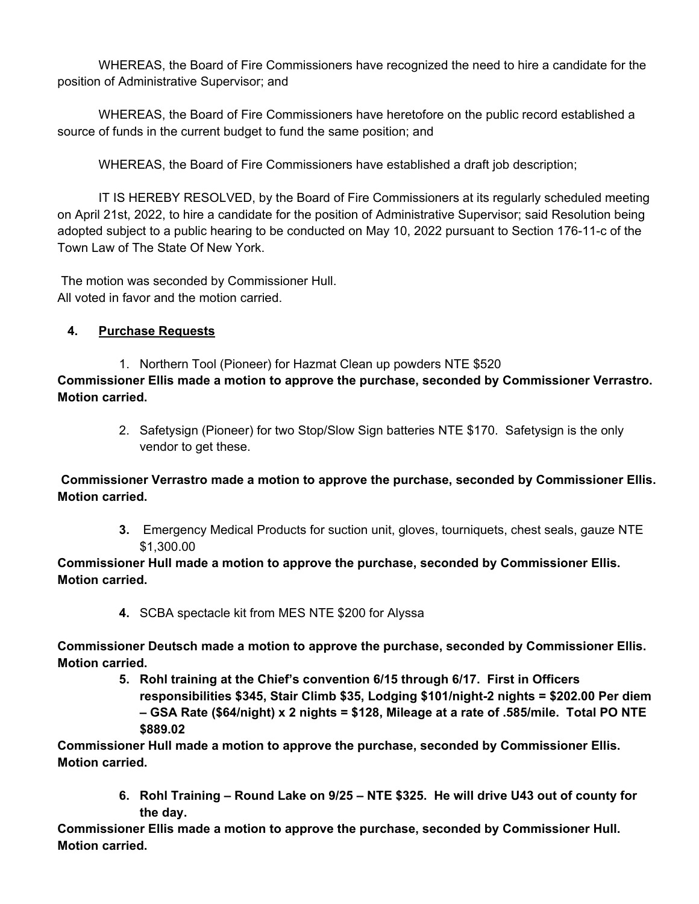WHEREAS, the Board of Fire Commissioners have recognized the need to hire a candidate for the position of Administrative Supervisor; and

 WHEREAS, the Board of Fire Commissioners have heretofore on the public record established a source of funds in the current budget to fund the same position; and

WHEREAS, the Board of Fire Commissioners have established a draft job description;

 IT IS HEREBY RESOLVED, by the Board of Fire Commissioners at its regularly scheduled meeting on April 21st, 2022, to hire a candidate for the position of Administrative Supervisor; said Resolution being adopted subject to a public hearing to be conducted on May 10, 2022 pursuant to Section 176-11-c of the Town Law of The State Of New York.

 The motion was seconded by Commissioner Hull. All voted in favor and the motion carried.

**4. Purchase Requests** 

1. Northern Tool (Pioneer) for Hazmat Clean up powders NTE \$520 **Commissioner Ellis made a motion to approve the purchase, seconded by Commissioner Verrastro. Motion carried.**

> 2. Safetysign (Pioneer) for two Stop/Slow Sign batteries NTE \$170. Safetysign is the only vendor to get these.

**Commissioner Verrastro made a motion to approve the purchase, seconded by Commissioner Ellis. Motion carried.** 

> **3.** Emergency Medical Products for suction unit, gloves, tourniquets, chest seals, gauze NTE \$1,300.00

# **Commissioner Hull made a motion to approve the purchase, seconded by Commissioner Ellis. Motion carried.**

**4.** SCBA spectacle kit from MES NTE \$200 for Alyssa

**Commissioner Deutsch made a motion to approve the purchase, seconded by Commissioner Ellis. Motion carried.** 

> **5. Rohl training at the Chief's convention 6/15 through 6/17. First in Officers responsibilities \$345, Stair Climb \$35, Lodging \$101/night-2 nights = \$202.00 Per diem – GSA Rate (\$64/night) x 2 nights = \$128, Mileage at a rate of .585/mile. Total PO NTE \$889.02**

**Commissioner Hull made a motion to approve the purchase, seconded by Commissioner Ellis. Motion carried.** 

> **6. Rohl Training – Round Lake on 9/25 – NTE \$325. He will drive U43 out of county for the day.**

**Commissioner Ellis made a motion to approve the purchase, seconded by Commissioner Hull. Motion carried.**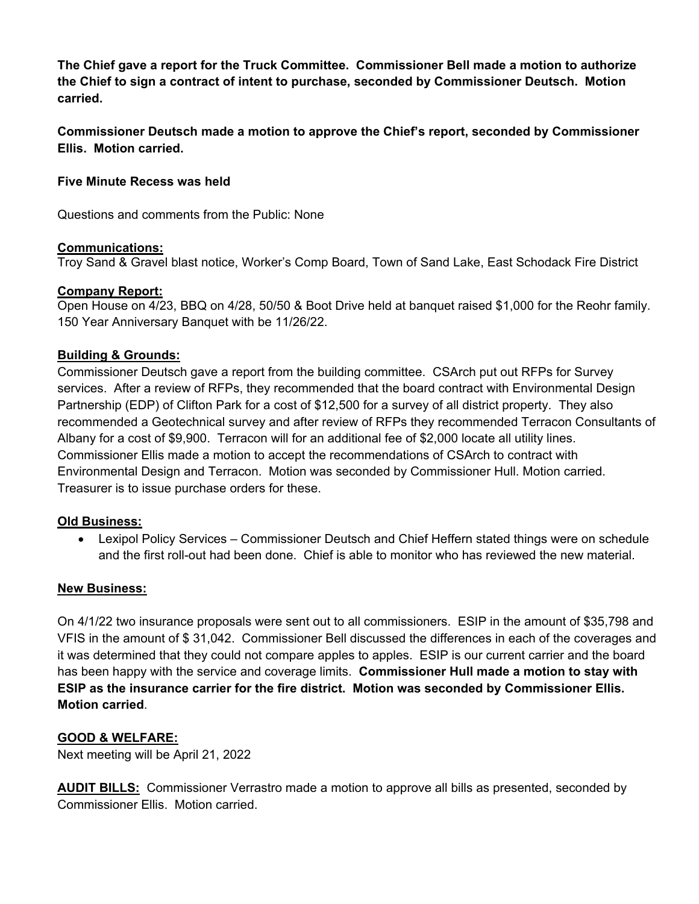**The Chief gave a report for the Truck Committee. Commissioner Bell made a motion to authorize the Chief to sign a contract of intent to purchase, seconded by Commissioner Deutsch. Motion carried.** 

**Commissioner Deutsch made a motion to approve the Chief's report, seconded by Commissioner Ellis. Motion carried.** 

### **Five Minute Recess was held**

Questions and comments from the Public: None

### **Communications:**

Troy Sand & Gravel blast notice, Worker's Comp Board, Town of Sand Lake, East Schodack Fire District

## **Company Report:**

Open House on 4/23, BBQ on 4/28, 50/50 & Boot Drive held at banquet raised \$1,000 for the Reohr family. 150 Year Anniversary Banquet with be 11/26/22.

## **Building & Grounds:**

Commissioner Deutsch gave a report from the building committee. CSArch put out RFPs for Survey services. After a review of RFPs, they recommended that the board contract with Environmental Design Partnership (EDP) of Clifton Park for a cost of \$12,500 for a survey of all district property. They also recommended a Geotechnical survey and after review of RFPs they recommended Terracon Consultants of Albany for a cost of \$9,900. Terracon will for an additional fee of \$2,000 locate all utility lines. Commissioner Ellis made a motion to accept the recommendations of CSArch to contract with Environmental Design and Terracon. Motion was seconded by Commissioner Hull. Motion carried. Treasurer is to issue purchase orders for these.

### **Old Business:**

 Lexipol Policy Services – Commissioner Deutsch and Chief Heffern stated things were on schedule and the first roll-out had been done. Chief is able to monitor who has reviewed the new material.

### **New Business:**

On 4/1/22 two insurance proposals were sent out to all commissioners. ESIP in the amount of \$35,798 and VFIS in the amount of \$ 31,042. Commissioner Bell discussed the differences in each of the coverages and it was determined that they could not compare apples to apples. ESIP is our current carrier and the board has been happy with the service and coverage limits. **Commissioner Hull made a motion to stay with ESIP as the insurance carrier for the fire district. Motion was seconded by Commissioner Ellis. Motion carried**.

### **GOOD & WELFARE:**

Next meeting will be April 21, 2022

**AUDIT BILLS:** Commissioner Verrastro made a motion to approve all bills as presented, seconded by Commissioner Ellis. Motion carried.